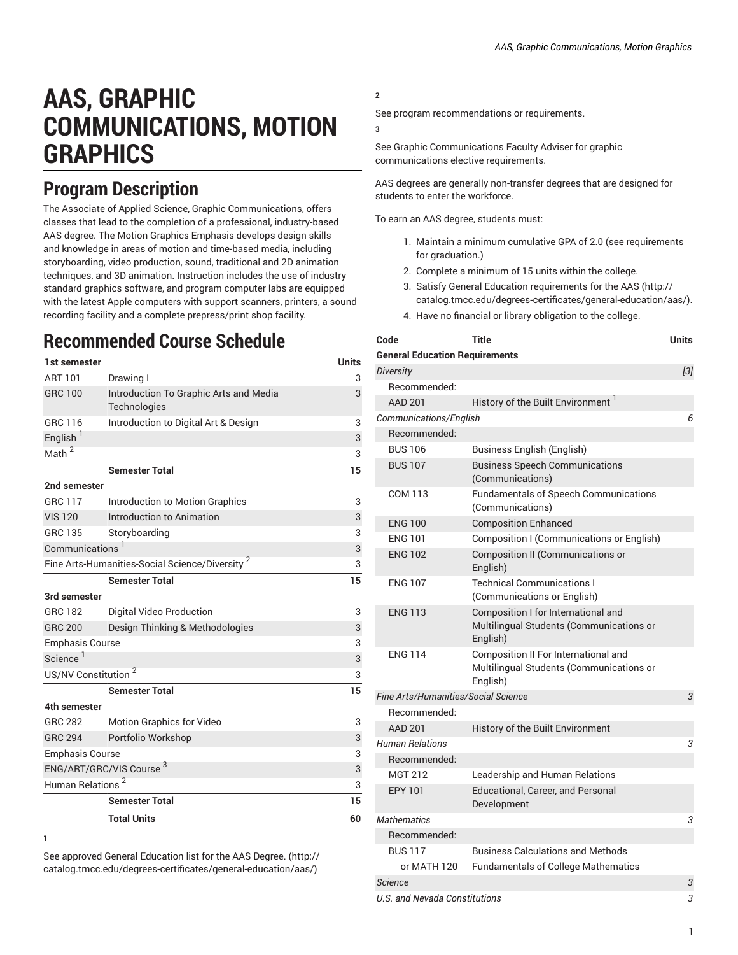# **AAS, GRAPHIC COMMUNICATIONS, MOTION GRAPHICS**

### **Program Description**

The Associate of Applied Science, Graphic Communications, offers classes that lead to the completion of a professional, industry-based AAS degree. The Motion Graphics Emphasis develops design skills and knowledge in areas of motion and time-based media, including storyboarding, video production, sound, traditional and 2D animation techniques, and 3D animation. Instruction includes the use of industry standard graphics software, and program computer labs are equipped with the latest Apple computers with support scanners, printers, a sound recording facility and a complete prepress/print shop facility.

## **Recommended Course Schedule**

| 1st semester                                               |                                                      | <b>Units</b> |
|------------------------------------------------------------|------------------------------------------------------|--------------|
| ART 101                                                    | Drawing I                                            | 3            |
| <b>GRC 100</b>                                             | Introduction To Graphic Arts and Media               | 3            |
| GRC 116                                                    | Technologies<br>Introduction to Digital Art & Design | 3            |
| English <sup>1</sup>                                       |                                                      |              |
| Math <sup>2</sup>                                          |                                                      | 3            |
|                                                            |                                                      | 3            |
|                                                            | <b>Semester Total</b>                                | 15           |
| 2nd semester                                               |                                                      |              |
| <b>GRC 117</b>                                             | Introduction to Motion Graphics                      | 3            |
| <b>VIS 120</b>                                             | Introduction to Animation                            | 3            |
| <b>GRC 135</b>                                             | Storyboarding                                        | 3            |
| Communications <sup>1</sup>                                |                                                      | 3            |
| Fine Arts-Humanities-Social Science/Diversity <sup>2</sup> | 3                                                    |              |
|                                                            | <b>Semester Total</b>                                | 15           |
| 3rd semester                                               |                                                      |              |
| <b>GRC 182</b>                                             | Digital Video Production                             | 3            |
| <b>GRC 200</b>                                             | Design Thinking & Methodologies                      | 3            |
| <b>Emphasis Course</b>                                     |                                                      |              |
| Science <sup>1</sup>                                       |                                                      | 3            |
| US/NV Constitution <sup>2</sup>                            |                                                      | 3            |
|                                                            | <b>Semester Total</b>                                | 15           |
| 4th semester                                               |                                                      |              |
| <b>GRC 282</b>                                             | <b>Motion Graphics for Video</b>                     | 3            |
| <b>GRC 294</b>                                             | Portfolio Workshop                                   | 3            |
| <b>Emphasis Course</b>                                     |                                                      | 3            |
| ENG/ART/GRC/VIS Course <sup>3</sup>                        |                                                      | 3            |
| Human Relations <sup>2</sup>                               |                                                      | 3            |
|                                                            | <b>Semester Total</b>                                | 15           |
|                                                            | <b>Total Units</b>                                   | 60           |

**<sup>1</sup>**

See approved General [Education](http://catalog.tmcc.edu/degrees-certificates/general-education/aas/) list for the AAS Degree. [\(http://](http://catalog.tmcc.edu/degrees-certificates/general-education/aas/) [catalog.tmcc.edu/degrees-certificates/general-education/aas/\)](http://catalog.tmcc.edu/degrees-certificates/general-education/aas/)

**2**

See program recommendations or requirements.

**3**

See Graphic Communications Faculty Adviser for graphic communications elective requirements.

AAS degrees are generally non-transfer degrees that are designed for students to enter the workforce.

To earn an AAS degree, students must:

- 1. Maintain a minimum cumulative GPA of 2.0 (see requirements for graduation.)
- 2. Complete a minimum of 15 units within the college.
- 3. Satisfy General Education [requirements](http://catalog.tmcc.edu/degrees-certificates/general-education/aas/) for the AAS [\(http://](http://catalog.tmcc.edu/degrees-certificates/general-education/aas/) [catalog.tmcc.edu/degrees-certificates/general-education/aas/](http://catalog.tmcc.edu/degrees-certificates/general-education/aas/)).
- 4. Have no financial or library obligation to the college.

| Code                                  | Title                                                                                        | Units |
|---------------------------------------|----------------------------------------------------------------------------------------------|-------|
| <b>General Education Requirements</b> |                                                                                              |       |
| <b>Diversity</b>                      |                                                                                              | $[3]$ |
| Recommended:                          |                                                                                              |       |
| <b>AAD 201</b>                        | History of the Built Environment <sup>1</sup>                                                |       |
| Communications/English                |                                                                                              | 6     |
| Recommended:                          |                                                                                              |       |
| <b>BUS 106</b>                        | <b>Business English (English)</b>                                                            |       |
| <b>BUS 107</b>                        | <b>Business Speech Communications</b><br>(Communications)                                    |       |
| COM 113                               | <b>Fundamentals of Speech Communications</b><br>(Communications)                             |       |
| <b>ENG 100</b>                        | <b>Composition Enhanced</b>                                                                  |       |
| <b>ENG 101</b>                        | Composition I (Communications or English)                                                    |       |
| <b>ENG 102</b>                        | <b>Composition II (Communications or</b><br>English)                                         |       |
| <b>ENG 107</b>                        | <b>Technical Communications I</b><br>(Communications or English)                             |       |
| <b>ENG 113</b>                        | Composition I for International and<br>Multilingual Students (Communications or<br>English)  |       |
| <b>ENG 114</b>                        | Composition II For International and<br>Multilingual Students (Communications or<br>English) |       |
| Fine Arts/Humanities/Social Science   |                                                                                              | 3     |
| Recommended:                          |                                                                                              |       |
| <b>AAD 201</b>                        | History of the Built Environment                                                             |       |
| <b>Human Relations</b>                |                                                                                              | 3     |
| Recommended:                          |                                                                                              |       |
| <b>MGT 212</b>                        | Leadership and Human Relations                                                               |       |
| <b>EPY 101</b>                        | Educational, Career, and Personal<br>Development                                             |       |
| <b>Mathematics</b>                    |                                                                                              | 3     |
| Recommended:                          |                                                                                              |       |
| <b>BUS 117</b>                        | <b>Business Calculations and Methods</b>                                                     |       |
| or MATH 120                           | <b>Fundamentals of College Mathematics</b>                                                   |       |
| <b>Science</b>                        |                                                                                              |       |
| U.S. and Nevada Constitutions         |                                                                                              |       |